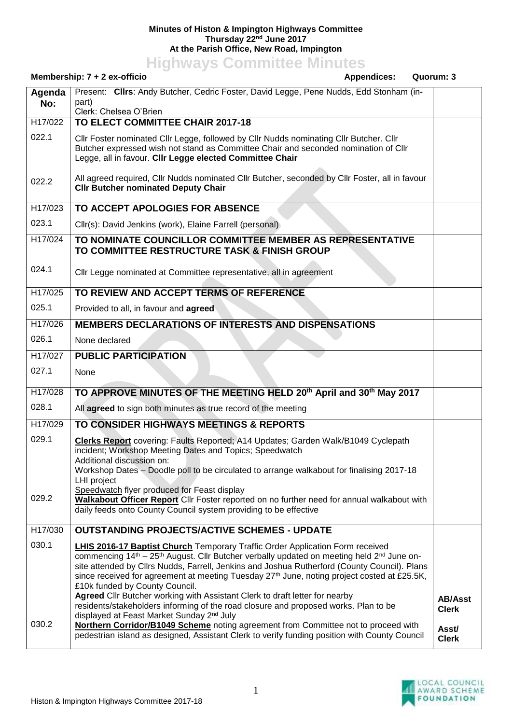## **Minutes of Histon & Impington Highways Committee Thursday 22nd June 2017 At the Parish Office, New Road, Impington**

**Highways Committee Minutes**

|               | Membership: 7 + 2 ex-officio<br><b>Appendices:</b>                                                                                                                                                                                                                                                                                                                                                                                                                                                                                                | Quorum: 3                                               |
|---------------|---------------------------------------------------------------------------------------------------------------------------------------------------------------------------------------------------------------------------------------------------------------------------------------------------------------------------------------------------------------------------------------------------------------------------------------------------------------------------------------------------------------------------------------------------|---------------------------------------------------------|
| Agenda<br>No: | Present: Clirs: Andy Butcher, Cedric Foster, David Legge, Pene Nudds, Edd Stonham (in-<br>part)<br>Clerk: Chelsea O'Brien                                                                                                                                                                                                                                                                                                                                                                                                                         |                                                         |
| H17/022       | TO ELECT COMMITTEE CHAIR 2017-18                                                                                                                                                                                                                                                                                                                                                                                                                                                                                                                  |                                                         |
| 022.1         | CIIr Foster nominated CIIr Legge, followed by CIIr Nudds nominating CIIr Butcher. CIIr<br>Butcher expressed wish not stand as Committee Chair and seconded nomination of Cllr<br>Legge, all in favour. Cllr Legge elected Committee Chair                                                                                                                                                                                                                                                                                                         |                                                         |
| 022.2         | All agreed required, Cllr Nudds nominated Cllr Butcher, seconded by Cllr Foster, all in favour<br><b>CIIr Butcher nominated Deputy Chair</b>                                                                                                                                                                                                                                                                                                                                                                                                      |                                                         |
| H17/023       | TO ACCEPT APOLOGIES FOR ABSENCE                                                                                                                                                                                                                                                                                                                                                                                                                                                                                                                   |                                                         |
| 023.1         | Cllr(s): David Jenkins (work), Elaine Farrell (personal)                                                                                                                                                                                                                                                                                                                                                                                                                                                                                          |                                                         |
| H17/024       | TO NOMINATE COUNCILLOR COMMITTEE MEMBER AS REPRESENTATIVE<br>TO COMMITTEE RESTRUCTURE TASK & FINISH GROUP                                                                                                                                                                                                                                                                                                                                                                                                                                         |                                                         |
| 024.1         | Cllr Legge nominated at Committee representative, all in agreement                                                                                                                                                                                                                                                                                                                                                                                                                                                                                |                                                         |
| H17/025       | TO REVIEW AND ACCEPT TERMS OF REFERENCE                                                                                                                                                                                                                                                                                                                                                                                                                                                                                                           |                                                         |
| 025.1         | Provided to all, in favour and agreed                                                                                                                                                                                                                                                                                                                                                                                                                                                                                                             |                                                         |
| H17/026       | <b>MEMBERS DECLARATIONS OF INTERESTS AND DISPENSATIONS</b>                                                                                                                                                                                                                                                                                                                                                                                                                                                                                        |                                                         |
| 026.1         | None declared                                                                                                                                                                                                                                                                                                                                                                                                                                                                                                                                     |                                                         |
| H17/027       | <b>PUBLIC PARTICIPATION</b>                                                                                                                                                                                                                                                                                                                                                                                                                                                                                                                       |                                                         |
| 027.1         | None                                                                                                                                                                                                                                                                                                                                                                                                                                                                                                                                              |                                                         |
| H17/028       | TO APPROVE MINUTES OF THE MEETING HELD 20th April and 30th May 2017                                                                                                                                                                                                                                                                                                                                                                                                                                                                               |                                                         |
| 028.1         | All agreed to sign both minutes as true record of the meeting                                                                                                                                                                                                                                                                                                                                                                                                                                                                                     |                                                         |
| H17/029       | TO CONSIDER HIGHWAYS MEETINGS & REPORTS                                                                                                                                                                                                                                                                                                                                                                                                                                                                                                           |                                                         |
| 029.1         | Clerks Report covering: Faults Reported; A14 Updates; Garden Walk/B1049 Cyclepath<br>incident; Workshop Meeting Dates and Topics; Speedwatch<br>Additional discussion on:<br>Workshop Dates - Doodle poll to be circulated to arrange walkabout for finalising 2017-18<br>LHI project                                                                                                                                                                                                                                                             |                                                         |
| 029.2         | Speedwatch flyer produced for Feast display<br>Walkabout Officer Report Cllr Foster reported on no further need for annual walkabout with<br>daily feeds onto County Council system providing to be effective                                                                                                                                                                                                                                                                                                                                     |                                                         |
| H17/030       | <b>OUTSTANDING PROJECTS/ACTIVE SCHEMES - UPDATE</b>                                                                                                                                                                                                                                                                                                                                                                                                                                                                                               |                                                         |
| 030.1         | <b>LHIS 2016-17 Baptist Church</b> Temporary Traffic Order Application Form received<br>commencing 14 <sup>th</sup> - 25 <sup>th</sup> August. Cllr Butcher verbally updated on meeting held 2 <sup>nd</sup> June on-<br>site attended by Cllrs Nudds, Farrell, Jenkins and Joshua Rutherford (County Council). Plans<br>since received for agreement at meeting Tuesday 27 <sup>th</sup> June, noting project costed at £25.5K,<br>£10k funded by County Council.<br>Agreed Cllr Butcher working with Assistant Clerk to draft letter for nearby |                                                         |
| 030.2         | residents/stakeholders informing of the road closure and proposed works. Plan to be<br>displayed at Feast Market Sunday 2 <sup>nd</sup> July<br>Northern Corridor/B1049 Scheme noting agreement from Committee not to proceed with<br>pedestrian island as designed, Assistant Clerk to verify funding position with County Council                                                                                                                                                                                                               | <b>AB/Asst</b><br><b>Clerk</b><br>Asst/<br><b>Clerk</b> |